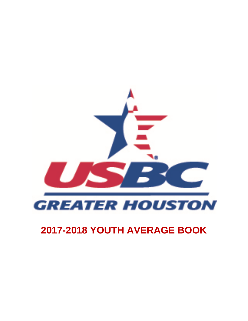

# **2017-2018 YOUTH AVERAGE BOOK**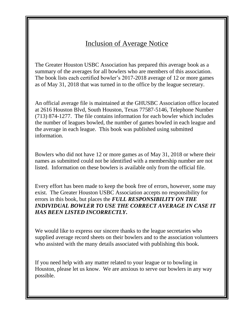## Inclusion of Average Notice

The Greater Houston USBC Association has prepared this average book as a summary of the averages for all bowlers who are members of this association. The book lists each certified bowler's 2017-2018 average of 12 or more games as of May 31, 2018 that was turned in to the office by the league secretary.

An official average file is maintained at the GHUSBC Association office located at 2616 Houston Blvd, South Houston, Texas 77587-5146, Telephone Number (713) 874-1277. The file contains information for each bowler which includes the number of leagues bowled, the number of games bowled in each league and the average in each league. This book was published using submitted information.

Bowlers who did not have 12 or more games as of May 31, 2018 or where their names as submitted could not be identified with a membership number are not listed. Information on these bowlers is available only from the official file.

Every effort has been made to keep the book free of errors, however, some may exist. The Greater Houston USBC Association accepts no responsibility for errors in this book, but places the *FULL RESPONSIBILITY ON THE INDIVIDUAL BOWLER TO USE THE CORRECT AVERAGE IN CASE IT HAS BEEN LISTED INCORRECTLY***.**

We would like to express our sincere thanks to the league secretaries who supplied average record sheets on their bowlers and to the association volunteers who assisted with the many details associated with publishing this book.

If you need help with any matter related to your league or to bowling in Houston, please let us know. We are anxious to serve our bowlers in any way possible.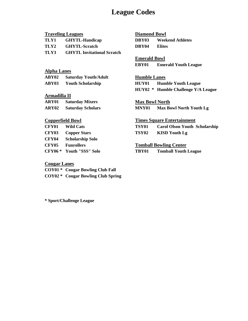## **League Codes**

|                         | <b>Traveling Leagues</b>          | <b>Diamond Bowl</b>   |                                            |
|-------------------------|-----------------------------------|-----------------------|--------------------------------------------|
| TLY1                    | <b>GHYTL-Handicap</b>             | DBY03                 | <b>Weekend Athletes</b>                    |
| TLY2                    | <b>GHYTL-Scratch</b>              | DBY04                 | <b>Elites</b>                              |
| TLY3                    | <b>GHYTL Invitational Scratch</b> |                       |                                            |
|                         |                                   | <b>Emerald Bowl</b>   |                                            |
|                         |                                   | EBY01                 | <b>Emerald Youth League</b>                |
| <b>Alpha Lanes</b>      |                                   |                       |                                            |
| ABY02                   | <b>Saturday Youth/Adult</b>       | <b>Humble Lanes</b>   |                                            |
| ABY03                   | <b>Youth Scholarship</b>          | HUY01                 | <b>Humble Youth League</b>                 |
|                         |                                   |                       | <b>HUY02</b> * Humble Challenge Y/A League |
| Armadilla II            |                                   |                       |                                            |
| ARY01                   | <b>Saturday Mixers</b>            | <b>Max Bowl North</b> |                                            |
| ARY02                   | <b>Saturday Scholars</b>          | MNY01                 | <b>Max Bowl North Youth Lg</b>             |
| <b>Copperfield Bowl</b> |                                   |                       | <b>Times Square Entertainment</b>          |
| CFY01                   | <b>Wild Cats</b>                  | <b>TSY01</b>          | <b>Carol Olson Youth Scholarship</b>       |
| <b>CFY03</b>            | <b>Copper Stars</b>               | <b>TSY02</b>          | <b>KISD Youth Lg</b>                       |
| CFY04                   | <b>Scholarship Solo</b>           |                       |                                            |
| <b>CFY05</b>            | <b>Funrollers</b>                 |                       | <b>Tomball Bowling Center</b>              |
| <b>CFY06*</b>           | Youth "SSS" Solo                  | TBY01                 | <b>Tomball Youth League</b>                |
|                         |                                   |                       |                                            |

### **Cougar Lanes**

**COY01 \* Cougar Bowling Club Fall COY02 \* Cougar Bowling Club Spring**

**\* Sport/Challenge League**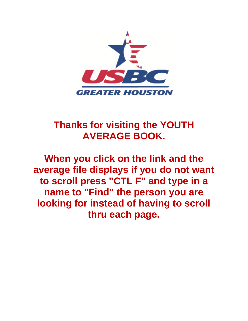

# **Thanks for visiting the YOUTH AVERAGE BOOK.**

**When you click on the link and the average file displays if you do not want to scroll press "CTL F" and type in a name to "Find" the person you are looking for instead of having to scroll thru each page.**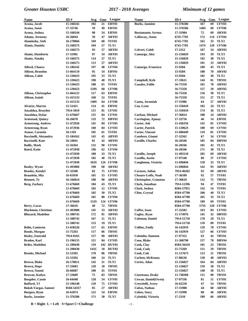| Name                        | ID#        | Avg  | Gms | League       | <b>Name</b>                  | ID#        | Avg  | Gms | League            |
|-----------------------------|------------|------|-----|--------------|------------------------------|------------|------|-----|-------------------|
| Acuna, Jacob                | 15-160242  | 102  | 21  | EBY01        | <b>Burks, Jasmine</b>        | 11-376586  | 167  | 69  | <b>CFY03</b>      |
| Acuna, Janai                | 17-33746   | 59   | 49  | EBY01        |                              | 11-376586  | 148S | 60  | <b>CFY06</b>      |
| Acuna, Joshua               | 15-160244  | 98   | 54  | EBY01        | <b>Bustamante</b> , Syrena   | 17-31984   | 72   | 69  | ARY01             |
| <b>Adams, Jermony</b>       | 16-26044   | 50   | 47  | ARY01        | Calloway, Aston              | 6745-7781  | 172  | 114 | <b>CFY04</b>      |
| <b>Alaminsky, Seth</b>      | 16-170066  | 169  | 68  | <b>TSY01</b> |                              | 6745-7781  | 165  | 33  | TLY2              |
| Alaniz, Daniela             | 15-160273  | 104  | 27  | TLY1         |                              | 6745-7781  | 147S | 120 | <b>CFY06</b>      |
|                             | 15-160273  | 93   | 57  | ARY01        | Calvert, Caleb               | 17-2312    | 167  | 54  | ABY03             |
| Alaniz, Humberto            | 17-31981   | 97   | 54  | ARY01        | Camargo, Alex                | 15-156029  | 193  | 39  | TLY3              |
| Alaniz, Natalia             | 15-160275  | 114  | 27  | TLY1         |                              | 15-156029  | 192  | 30  | TLY2              |
|                             | 15-160275  | 113  | 57  | ARY01        |                              | 15-156029  | 181  | 33  | ARY <sub>02</sub> |
| Alford, Chance              | 11-186242  | 197  | 40  | <b>CFY04</b> | Camargo, Francisco           | 15-9284    | 189  | 43  | TLY3              |
| <b>Allison, Brandon</b>     | 11-664119  | 95   | 54  | EBY01        |                              | 15-9284    | 188  | 70  | ARY02             |
| <b>Allison, Caleb</b>       | 11-530423  | 195  | 33  | TLY2         |                              | 15-9284    | 182  | 30  | TLY <sub>2</sub>  |
|                             | 11-530423  | 190  | 40  | TLY3         | Campbell, Kyle               | 17-33611   | 144  | 81  | TBY01             |
|                             | 11-530423  | 180  | 65  | <b>TSY01</b> | <b>Canales, Eddie</b>        | 16-75350   | 165  | 78  | ABY03             |
|                             | 11-530423  | 159S | 68  | <b>CFY06</b> |                              | 16-75350   | 157  | 29  | ABY02             |
| Allison, Christopher        | 11-664122  | 117  | 63  | EBY01        |                              | 16-75350   | 156  | 30  | TLY1              |
| Allison, Isaiah             | 11-415133  | 160  | 52  | TSY01        |                              | 16-75350   | 151  | 27  | TLY2              |
|                             | 11-415133  | 148S | 64  | <b>CFY06</b> | Cantu, Jeremiah              | 17-31986   | 64   | 57  | ARY01             |
| <b>Alvarez, Marcus</b>      | 15-51421   | 114  | 41  | EBY01        | Cao, Lynn                    | 11-550410  | 182  | 24  | TLY2              |
| Anzaldua, Brayden           | 7914-5819  | 115  | 81  | <b>CFY01</b> |                              | 11-550410  | 174  | 36  | TLY3              |
| Anzaldua, Dylan             | 11-676667  | 135  | 84  | CFY01        | <b>Carlson, Michael</b>      | 17-36014   | 180  | 24  | ABY02             |
| <b>Armstead, Quincy</b>     | 16-26670   | 133  |     | 72 DBY03     | Carrington, Ajanay           | 17-33756   | 46   | 14  | EBY01             |
| <b>Armstrong, Andrew</b>    | 11-472926  | 141  | 84  | <b>CFY03</b> | Carter, Ash                  | 11-436356  | 141  | 81  | <b>CFY03</b>      |
| Armstrong, Ryan             | 11-472936  | 160  | 84  | <b>CFY03</b> | Carter, Patrick              | 15-120623  | 100  | 69  | <b>CFY03</b>      |
| Asmar, Carmela              | 16-1101    | 105  | 61  | <b>TSY01</b> | <b>Carter, Vincent</b>       | 11-600449  | 119  | 81  | <b>CFY03</b>      |
| Baccinelli, Alexandra       | 15-184162  | 145  | 45  | ABY03        | Casebere, Gianni             | 17-32562   | 67   | 34  | <b>CFY01</b>      |
| <b>Baccinelli, Kate</b>     | 16-24841   | 81   | 42  | ABY03        | <b>Castille, Charles</b>     | 16-28166   | 185  | 84  | DBY04             |
| <b>Bailly, Mark</b>         | 15-56364   | 132  | 90  | CFY01        |                              | 16-28166   | 181  | 43  | TLY3              |
| <b>Baird, Katie</b>         | 11-472930  | 196  | 62  | <b>CFY04</b> |                              | 16-28166   | 171  | 30  | TLY <sub>2</sub>  |
|                             | 11-472930  | 188  | 33  | TLY2         | Castillo, Joseph             | 11-493118  | 205  | 69  | ARY02             |
|                             | 11-472930  | 182  | 40  | TLY3         | Castillo, Justin             | 17-97340   | 89   | 37  | <b>CFY03</b>      |
|                             | 11-472930  | 163S | 124 | CFY06        | Caughman, Victoria           | 11-696844  | 150  | 33  | TLY1              |
| <b>Baxley, Wyatt</b>        | 11-493086  | 190  | 60  | ARY02        |                              | 11-696844  | 142  | 93  | ABY03             |
| <b>Beasley, Kendyl</b>      | 17-32580   | 82   | 75  | <b>CFY03</b> | Cavazos, Julian              | 7914-46262 | 92   | 69  | ARY01             |
| <b>Beaudoin, Mia</b>        | 16-65950   | 105  | 33  | <b>CFY05</b> | <b>Cheater-Loffe, Noah</b>   | 17-36589   | 92   | 57  | <b>TSY01</b>      |
| <b>Bennett</b> , Ty         | 16-166814  | 100  | 90  | ABY03        | <b>Christopher, Cranston</b> | 17-36618   | 112  | 75  | TBY01             |
| Berg, Zachary               | 11-676669  | 184  | 43  | TLY3         | Clark, Jonathan              | 7914-12396 | 94   | 47  | <b>TSY01</b>      |
|                             | 11-676669  | 183  | 12  | <b>CFY05</b> | Clark, Joshua                | 8584-57955 | 142  | 54  | <b>TSY01</b>      |
|                             | 11-676669  | 182  | 30  | TLY2         | <b>Cline, Crystal</b>        | 8584-47700 | 206  | 40  | TLY3              |
|                             | 11-676669  | 181  | 88  | <b>CFY04</b> |                              | 8584-47700 | 205  | 33  | TLY <sub>2</sub>  |
|                             | 11-676669  | 152S |     | 124 CFY06    |                              | 8584-47700 | 189  | 69  | <b>TSY01</b>      |
| Berry, Lucas                | 17-36616   | 49   | 72  | TBY01        |                              | 8584-47700 | 175S | 120 | <b>CFY06</b>      |
| <b>Blackmon, Christian</b>  | 11-493088  | 145  | 33  | ARY02        | Coffer, Isaac                | 17-32582   | 163  | 84  | <b>CFY03</b>      |
| <b>Blizzard, Madeline</b>   | 11-508745  | 172  | 81  | ABY03        | Cogley, Ryan                 | 11-174976  | 145  | 32  | DBY03             |
|                             | 11-508745  | 167  | 21  | TLY2         | Coleman, Daniel              | 7914-51750 | 178  | 29  | TLY <sub>2</sub>  |
|                             | 11-508745  | 153  | 19  | TLY1         |                              | 7914-51750 | 159  | 89  | <b>TSY01</b>      |
| <b>Bolin, Cameron</b>       | 11-658226  | 117  | 65  | EBY01        | <b>Collins, Emily</b>        | 16-142919  | 129  | 78  | <b>CFY05</b>      |
| <b>Bonds, Morgan</b>        | 15-75263   | 117  | 66  | <b>TBY01</b> |                              | 16-142919  | 127  | 66  | <b>CFY03</b>      |
| <b>Bosley, Emerald</b>      | 7914-8165  | 157  | 90  | ABY03        | Colombo, Dameon              | 17-97352   | 63   | 42  | TBY01             |
| Braden, Karl                | 15-196155  | 121  | 84  | CFY05        | <b>Cone, Blake</b>           | 11-368790  | 157  | 78  | DBY04             |
| <b>Briles, Madeline</b>     | 11-290430  | 159  |     | 102 HUY01    | Cook, Clay                   | 8584-56410 | 181  | 23  | <b>TBY01</b>      |
|                             | 11-290430  | 145C | 18  | <b>HUY02</b> | Cook, Cody                   | 15-75269   | 151  | 29  | TBY01             |
| <b>Brooks, Michael</b>      | 15-53392   | 178  | 86  | <b>TBY01</b> | Cook, Cole                   | 11-117673  | 113  | 21  | TBY01             |
|                             | 15-53392   | 160  | 24  | TLY1         | Corbett, McKenna             | 17-80236   | 138  | 48  | ABY03             |
| <b>Brown, Blake</b>         | 16-170611  | 142  | 21  | TLY1         | Cortez, Adan                 | 15-156027  | 164  | 84  | ABY03             |
| <b>Brown, Hope</b>          | 17-33603   | 120  | 18  | TBY01        |                              | 15-156027  | 159  | 30  | TLY2              |
| <b>Brown, Naomi</b>         | 16-66687   | 100  | 45  | <b>TSY01</b> |                              | 15-156027  | 148  | 30  | TLY1              |
| <b>Browne, Katlyn</b>       | 17-33609   | 75   | 83  | <b>TBY01</b> | Courteaux, Drake             | 11-748308  | 115  | 90  | TBY01             |
| <b>Buegeler, Cassie</b>     | 16-64448   | 128  | 54  | CFY03        | Cowan, Daniel(Owen)          | 17-97336   | 81   | 51  | <b>CFY01</b>      |
| Bufford, TJ                 | 15-196148  | 129  | 75  | CFY03        | Crescitelli, Avery           | 16-62258   | 47   | 54  | <b>TBY01</b>      |
| <b>Buksh-Vargas, Sameer</b> | 8584-54317 | 85   | 27  | ARY02        | Cubos, Nathan                | 17-31988   | 44   | 60  | ARY01             |
| <b>Burgess, Ryan</b>        | 16-62074   | 122  | 54  | EBY01        | <b>Cubos, Stacy</b>          | 17-31990   | 88   | 46  | ARY01             |
| <b>Burks, Jasmine</b>       | 11-376586  | 171  |     | 30 TLY2      | Cybulski, Victoria           | 17-2310    | 109  | 66  | ABY02             |

 $R = Right L = Left S = Sport C = Challenge$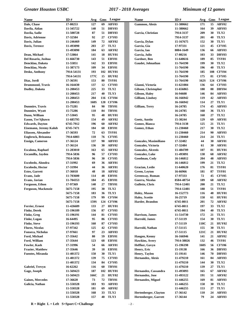| Name                       | ID#        | Avg         | Gms | League            | <b>Name</b>               | ID#        | Avg         | Gms | League            |
|----------------------------|------------|-------------|-----|-------------------|---------------------------|------------|-------------|-----|-------------------|
| Dale, Chase                | 17-80253   | 127         | 69  | ABY03             | <b>Gammon, Alexis</b>     | 11-380662  | 171         | 15  | ABY02             |
| Davila, Aidan              | 11-345722  | 140         | 51  | DBY03             |                           | 11-380662  | 164         | 39  | ABY03             |
| Davila, Sadie              | 11-508728  | 87          | 51  | DBY03             | Garcia, Christian         | 7914-3137  | 209         | 30  | TLY <sub>2</sub>  |
| Davis, Adrienne            | 17-32584   | 92          | 27  | <b>CFY03</b>      |                           | 7914-3137  | 201         | 40  | TLY3              |
| Davis, Julian              | 11-246469  | 149         | 72  | ARY <sub>02</sub> | Garcia, Dylan             | 15-167675  | 152         | 30  | TLY1              |
| Davis, Terence             | 11-493090  | 203         | 27  | TLY <sub>2</sub>  | Garcia, Gia               | 17-97331   | 121         | 45  | CFY05             |
|                            | 11-493090  | 184         | 63  | ARY02             | Garcia, Ian               | 8004-1649  | 136         | 66  | ABY03             |
| Dean, Michael              | 17-53864   | 141         | 18  | <b>HUY01</b>      | Garcia, Julio             | 17-80216   | 103         | 33  | DBY03             |
| Del Rosario, Joshua        | 11-666730  | 143         | 51  | EBY01             | Gardner, Ben              | 11-640616  | 189         | 85  | <b>TSY01</b>      |
| Dencklau, Dakota           | 11-55851   | 142         | 33  | EBY01             | Gaudet, Johnathan         | 11-764190  | 199         | 30  | TLY2              |
| Dencklau, Nicole           | 11-387173  | 109         | 34  | EBY01             |                           | 11-764190  | 196         | 40  | TLY3              |
| Desko, Anthony             | 7914-54131 | 193         | 102 | HUY01             |                           | 11-764190  | 185         | 108 | CFY04             |
|                            | 7914-54131 | 177C        | 15  | <b>HUY02</b>      |                           | 11-764190  | 175         | 81  | <b>CFY05</b>      |
| Diaz, Jordi                | 17-36591   | 153         | 80  | <b>TSY01</b>      |                           | 11-764190  | 162S        | 124 | CFY06             |
| <b>Drummond, Travis</b>    | 16-164430  | 137         | 12  | <b>CFY03</b>      | Gianni, Victoria          | 11-621084  | 136         | 64  | <b>CFY03</b>      |
| <b>Dudley, Dakota</b>      | 11-208453  | 225         | 33  | TLY <sub>2</sub>  | Gibson, Christopher       | 11-656865  | 180         | 88  | DBY04             |
|                            | 11-208453  | 217         | 40  | TLY3              | <b>Gibson, Haley</b>      | 16-94608   | 146         | 84  | ABY03             |
|                            | 11-208453  | 204         | 116 | CFY04             | <b>Gilliam, Lindsey</b>   | 16-166942  | 119         | 42  | ABY03             |
|                            | 11-208453  | <b>168S</b> |     | 120 CFY06         |                           | 16-166942  | 114         | 27  | TLY1              |
| <b>Dunmire, Travis</b>     | 15-75281   | 84          | 90  | TBY01             | Gilliam, Terry            | 16-24785   | 174         | 45  | ABY03             |
| <b>Dunmire, Wyatt</b>      | 15-75286   | 110         | 84  | TBY01             |                           | 16-24785   | 168         | 36  | TLY3              |
| Dunn, William              | 17-53045   | 95          | 48  | HUY01             |                           | 16-24785   | 168         | 27  | TLY2              |
| Eason, Tre'Sjhawn          | 11-685795  | 154         | 49  | ARY <sub>02</sub> | Goetz, Austin             | 15-30244   | 129         | 69  | ARY01             |
| <b>Edwards, Dayton</b>     | 6745-7912  | 196         | 60  | ARY02             | Gomez, Bianca             | 7914-3138  | 125         | 21  | TLY1              |
| Eisemann, Jeremy Kalub     | 6745-7471  | 184         | 60  | EBY01             | Gomez, Ethan              | 11-230460  | 217         | 30  | TLY2              |
| Eliassen, Alexander        | 17-36593   | 72          | 63  | <b>TSY01</b>      |                           | 11-230460  | 214         | 90  | ABY03             |
| Engbrock, Brieanna         | 7914-6083  | 110         | 76  | <b>CFY05</b>      |                           | 11-230460  | 214         | 24  | TLY1              |
| <b>Ensign, Cameron</b>     | 17-36124   | 137         | 90  | ABY03             | Gonzales, Maximiliano     | 17-32482   | 44          | 30  | ARY01             |
|                            | 17-36124   | 136         | 30  | ABY02             | Gonzales, Victoria        | 17-32484   | 61          | 30  | ARY01             |
| <b>Escalona, Raphael</b>   | 11-283010  | 163         | 65  | ARY <sub>02</sub> | <b>Gonzalez, Alcestis</b> | 11-484709  | 107         | 81  | HUY01             |
| Escamilla, Jayden          | 7914-5836  | 96          | 57  | <b>CFY03</b>      | Gonzalez, Luke            | 11-493091  | 138         | 68  | ARY <sub>02</sub> |
|                            | 7914-5836  | 96          | 30  | <b>CFY05</b>      | Goodman, Cody             | 16-146812  | 204         | 48  | ABY03             |
| Escobedo, Alondra          | 17-31992   | 69          | 36  | ARY01             |                           | 16-146812  | 199         | 21  | TLY <sub>2</sub>  |
| Escobedo, Hector           | 17-31994   | 44          | 36  | ARY01             | Gracian, Leslie           | 11-640620  | 176         | 81  | <b>TSY01</b>      |
| <b>Estes, Garrett</b>      | 17-36018   | 48          | 18  | ABY02             | <b>Green, Leyton</b>      | 16-66966   | 181         | 87  | <b>TSY01</b>      |
| Evans, Jade                | 11-703600  | 114         | 48  | EBY01             | Greenway, Roman           | 17-97333   | 72          | 45  | <b>CFY05</b>      |
| Evans, Javian              | 11-704353  | 184         | 45  | EBY01             | Guerra, Nicolas           | 8584-48754 | 189         | 68  | ARY02             |
| Ferguson, Ethon            | 17-97369   | 140         | 27  | TBY01             | <b>Gullette, Chris</b>    | 7914-12401 | 200         | 21  | TLY2              |
| <b>Ferguson, Mackenzie</b> | 5675-7158  | 195         | 30  | TLY <sub>2</sub>  |                           | 7914-12401 | 188         | 51  | <b>TSY01</b>      |
|                            | 5675-7158  | 183         | 36  | TLY3              | <b>Haley, Mason</b>       | 16-152773  | 116         | 48  | HUY01             |
|                            | 5675-7158  | 179         | 99  | <b>CFY04</b>      | <b>Haley, Scottie</b>     | 16-25719   | 158         | 61  | HUY01             |
|                            | 5675-7158  | 159S        |     | 124 CFY06         | Harder, Brandon           | 6745-8011  | 201         | 72  | ARY <sub>02</sub> |
| Ferrier, Ernest            | 11-426689  | 133         | 27  | HUY01             |                           | 6745-8011  | 197         | 33  | TLY <sub>2</sub>  |
| <b>Finke, Derek</b>        | 15-196189  | 156         | 87  | <b>CFY03</b>      |                           | 6745-8011  | 194         | 40  | TLY3              |
| <b>Finke, Greg</b>         | 15-196191  | 144         | 81  | <b>CFY03</b>      | Harrison, James           | 11-514730  | 172         | 21  | TLY1              |
| Finke, Logan               | 16-64495   | 95          | 86  | CFY03             | Harrold, James            | 17-51119   | 154         | 30  | TLY1              |
| <b>Finke, Steve</b>        | 15-196193  | <b>160</b>  | 87  | <b>CFY03</b>      |                           | 17-51119   | 118C        | 21  | HUY <sub>02</sub> |
| <b>Flores, Nicolas</b>     | 17-97342   | 125         | 42  | <b>CFY03</b>      | Harrold, Nathan           | 17-51115   | 155         | 30  | TLY1              |
| <b>Fonseca, Nicholas</b>   | 17-97661   | 97          | 23  | ABY03             |                           | 17-51115   | 121C        | 21  | HUY <sub>02</sub> |
| Ford, Michael              | 17-35642   | 80          | 59  | EBY01             | Haugen, Kenny             | 16-166946  | 141         | 21  | ABY02             |
| Ford, William              | 17-35644   | 123         | 68  | EBY01             | <b>Hawkins, Avery</b>     | 7914-38826 | 132         | 46  | <b>TSY01</b>      |
| Fowler, Kash               | 17-31996   | 54          | 66  | ARY01             | Heffker, Gavyn            | 15-196198  | <b>160S</b> | 56  | <b>CFY06</b>      |
| <b>Frazier</b> , Matthew   | 17-35646   | 39          | 18  | EBY01             | Henry, Eric               | 15-19138   | 166         | 36  | DBY03             |
| <b>Fuentes, Miranda</b>    | 11-401372  | 150         | 30  | TLY1              | Henry, Taylen             | 15-19141   | 146         | 70  | DBY03             |
|                            | 11-401372  | 139         | 75  | CFY03             | Hernandez, Alexis         | 11-479210  | 161         | 84  | ABY03             |
|                            | 11-401372  | 134         | 84  | CFY05             |                           | 11-479210  | 144         | 30  | TLY <sub>2</sub>  |
| <b>Gabriel, Trevyn</b>     | 16-62262   | 116         | 60  | TBY01             |                           | 11-479210  | 139         | 27  | TLY1              |
| Gage, Joseph               | 11-569423  | 187         | 102 | <b>HUY01</b>      | Hernandez, Cassandra      | 11-493093  | 165         | 67  | ARY <sub>02</sub> |
|                            | 11-569423  | 166C        | 21  | HUY02             | Hernandez, Jose           | 11-493122  | 191         | 51  | ARY02             |
| <b>Gaines, Mercedes</b>    | 17-36620   | 73          | 72  | TBY01             | Hernandez, Miguel         | 11-446255  | 169         | 81  | ABY03             |
| Galicia, Nathan            | 11-550328  | 183         | 93  | ABY03             |                           | 11-446255  | 158         | 30  | TLY <sub>2</sub>  |
|                            | 11-550328  | 181         | 69  | ABY02             |                           | 11-446255  | 153         | 27  | TLY1              |
|                            | 11-550328  | 168         | 33  | TLY2              | Hertenberger, Clayton     | 17-36142   | 110         | 24  | ABY03             |
|                            | 11-550328  | 157         |     | 40 TLY3           | Hertenberger, Garrett     | 17-36144   | 79          |     | 24 ABY03          |

 $R = Right$   $L = Left$   $S = Sport$   $C = Challenge$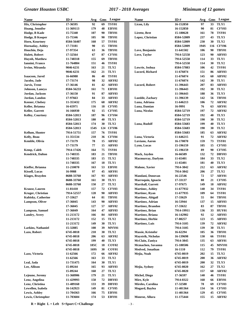| Name                      | ID#        | Avg  | Gms | League            | <b>Name</b>               | ID#        | Avg        | Gms | League            |
|---------------------------|------------|------|-----|-------------------|---------------------------|------------|------------|-----|-------------------|
| Hix, Christopher          | 17-36595   | 92   | 69  | <b>TSY01</b>      | Licon, Lily               | 16-152850  | 97         | 33  | TLY1              |
| Hoang, Jennifer           | 11-369113  | 179  | 48  | EBY01             |                           | 16-152850  | 90         | 81  | <b>CFY03</b>      |
| Hodge, B Kade             | 15-75340   | 107  | 90  | TBY01             | Lirette, Bret             | 15-180628  | 161        | 78  | <b>TSY01</b>      |
| Hodge, B Kooper           | 15-75346   | 105  | 90  | <b>TBY01</b>      | Lopez, Christian          | 8584-52809 | 237        | 43  | TLY3              |
| <b>Horn, Kourtney</b>     | 8584-56407 | 160  | 57  | <b>TSY01</b>      |                           | 8584-52809 | 230        | 30  | TLY <sub>2</sub>  |
| <b>Hornaday, Ashley</b>   | 17-73181   | 90   | 15  | <b>TBY01</b>      |                           | 8584-52809 | 194S       | 116 | CFY06             |
| Houchin, Deja             | 17-97354   | 63   | 36  | <b>TBY01</b>      | Love, Benjamin            | 11-641502  | 106        | 90  | TBY01             |
| <b>Hulett, Robert</b>     | 17-32564   | 67   | 87  | <b>CFY01</b>      | Love, Taylor              | 7914-52558 | 123        | 90  | ABY03             |
| <b>Huynh, Matthew</b>     | 11-748318  | 155  | 69  | <b>TBY01</b>      |                           | 7914-52558 | 114        | 33  | TLY1              |
| Iannini, Franco           | 11-764884  | 151  | 46  | <b>TSY01</b>      |                           | 7914-52558 | 114        | 30  | TLY <sub>2</sub>  |
| Irvine, Miranda           | 9046-6231  | 163  | 21  | TLY <sub>2</sub>  | Lowrie, Joshua            | 8584-57883 | 106        | 42  | <b>TSY01</b>      |
|                           | 9046-6231  | 162  | 21  | TLY1              | Lucord, Richard           | 11-676074  | 151        | 86  | ABY03             |
| <b>Isaacson</b> , Jared   | 16-66988   | 86   | 40  | <b>TSY01</b>      |                           | 11-676074  | 145        | 60  | ABY02             |
| Jacobo, Jade              | 17-73174   | 98   | 32  | ARY02             |                           | 11-676074  | 142        | 30  | TLY1              |
| <b>Jarvis</b> , Trent     | 17-36146   | 81   | 42  | ABY03             | Lucord, Robert            | 11-396443  | 207        | 83  | ABY03             |
| Johnson, Laneya           | 8584-56233 | 161  | 71  | EBY01             |                           | 11-396443  | 192        | 30  | TLY2              |
| Jordan, Jackson           | 17-36150   | 91   | 87  | ABY03             |                           | 11-396443  | 188        | 36  | TLY3              |
| Jordan, Landon            | 17-97663   | 84   | 33  | ABY03             | Luedde, Zachary           | 11-396139  | 142        | 56  | TBY01             |
| <b>Keener, Chelsey</b>    | 11-353432  | 175  | 68  | ARY <sub>02</sub> | Luna, Adriana             | 11-646213  | 106        | 72  | ARY02             |
| Keller, Brianna           | 16-65971   | 116  | 18  | <b>CFY05</b>      | Luna, Damian              | 16-9991    | 76         | 63  | ARY01             |
| Keller, Garrett           | 16-166930  | 92   | 15  | <b>CFY05</b>      | Luna, Nicolas             | 8584-52719 | 197        | 72  | ARY02             |
| <b>Kelley, Courtney</b>   | 8584-52813 | 187  | 96  | <b>CFY04</b>      |                           | 8584-52719 | 192        | 40  | TLY3              |
|                           | 8584-52813 | 180  | 40  | TLY3              |                           | 8584-52719 | 190        | 30  | TLY <sub>2</sub>  |
|                           | 8584-52813 | 174  | 30  | TLY <sub>2</sub>  | Luna, Rudolf              | 8584-55683 | 199        | 40  | TLY3              |
|                           | 8584-52813 | 154S | 124 | <b>CFY06</b>      |                           | 8584-55683 | 190        | 30  | TLY2              |
| Kellum, Hunter            | 7914-51751 | 157  | 76  | <b>TSY01</b>      |                           | 8584-55683 | 185        | 63  | ARY02             |
| Kelly, Beau               | 11-351534  | 210  | 36  | <b>CFY04</b>      | Luna, Victoria            | 11-646215  | 91         | 72  | ARY02             |
| Kemble, Olivia            | 17-73179   | 78   | 15  | ABY02             | Luviano, Aaron            | 16-170070  | 159        | 73  | <b>TSY01</b>      |
|                           | 17-73179   | 77   | 15  | ABY03             | Lynn, Lucas               | 15-196159  | 105        | 15  | <b>CFY03</b>      |
| <b>Kemp, Caleb</b>        | 7914-17426 | 164  | 75  | <b>TSY01</b>      |                           | 15-196159  | 89         | 90  | <b>CFY05</b>      |
| <b>Kendrick, Dalton</b>   | 11-748335  | 183  | 21  | <b>TBY01</b>      | Mack, Jayden              | 16-66589   | 132        | 72  | DBY03             |
|                           | 11-748335  | 183  | 15  | TLY2              | <b>Macmurray, Darlynn</b> | 11-65401   | 184        | 33  | TLY <sub>2</sub>  |
|                           | 11-748335  | 167  | 18  | TLY1              |                           | 11-65401   | 181        | 40  | TLY3              |
| Kieffer, Brianna          | 11-210070  | 163  | 53  | EBY01             | <b>Malone, Xavier</b>     | 7914-3842  | 212        | 63  | ARY <sub>02</sub> |
| <b>Kissell</b> , Lucas    | 16-9988    | 97   | 45  | ARY01             |                           | 7914-3842  | 206        | 27  | TLY2              |
| Klages, Brayden           | 8688-33760 | 167  | 93  | ABY03             | Mandani, Donovan          | 16-22546   | 72         | 57  | ARY01             |
|                           | 8688-33760 | 161  | 30  | TLY1              | Marroquin, Ignacio        | 17-33137   | 88         | 21  | <b>CFY05</b>      |
|                           | 8688-33760 | 150  | 27  | TLY <sub>2</sub>  | <b>Marshall, Garrett</b>  | 17-97675   | 149        | 18  | ABY02             |
| <b>Krause</b> , Lauren    | 11-81410   | 157  | 72  | <b>CFY03</b>      | <b>Martinec, Ashley</b>   | 11-677932  | 140        | 34  | <b>TSY01</b>      |
| Kruger, Christian         | 7914-52557 | 128  | 90  | ABY03             | Martinec, Ryan            | 11-677935  | 109        | 64  | <b>TSY01</b>      |
| <b>Kubisky, Catherine</b> | 17-33627   | 64   | 81  | <b>TBY01</b>      | <b>Martinez, Abigail</b>  | 17-33629   | 55         | 84  | TBY01             |
| <b>Lampson, Oliver</b>    | 17-36045   | 143  | 90  | ABY03             | Martinez, Adrian          | 16-53944   | 137        | 15  | ABY03             |
|                           | 17-36045   | 127  | 57  | ABY02             | <b>Martinez</b> , Brandon | 17-33632   | 83         | 87  | <b>TBY01</b>      |
| <b>Lampson, Samuel</b>    | 17-36049   | 164  | 47  | ABY03             | Martinez, Brian           | 7914-19911 | 136        | 33  | HUY01             |
| <b>Landry, Avery</b>      | 11-213172  | 166  | 84  | ABY03             | Martinez, Briana          | 16-142902  | 92         | 12  | ABY03             |
|                           | 11-213172  | 152  | 15  | TLY2              | <b>Martinez</b> , Herbie  | 17-80257   | 123        | 15  | ABY03             |
|                           | 11-213172  | 149  | 30  | TLY1              | <b>Martinez</b> , Luis    | 7914-3105  | 139        | 72  | ARY <sub>02</sub> |
| <b>Larkins, Nathaniel</b> | 15-32885   | 108  | 39  | MNY01             |                           | 7914-3105  | 139        | 30  | TLY1              |
| Lazo, Robert              | 6745-8018  | 210  | 30  | TLY2              | Massie, Kristofer         | 16-62294   | 105        | 36  | <b>TBY01</b>      |
|                           | 6745-8018  | 206  | 63  | ARY02             | <b>Maystrik, Nicholas</b> | 16-139698  | <b>130</b> | 66  | <b>TSY01</b>      |
|                           | 6745-8018  | 199  | 40  | TLY3              | McClain, Zaniya           | 7914-3845  | 135        | 63  | ARY01             |
|                           | 6745-8018  | 185C | 18  | COY <sub>02</sub> | Mcmachen, Savanna         | 15-180506  | 115        | 45  | MNY01             |
|                           | 6745-8018  | 169S | 30  | COY01             | Medved, Jonathan          | 16-1110    | 112        | 79  | <b>TSY01</b>      |
| Lazo, Victoria            | 11-62566   | 172  | 66  | ARY02             | Mejia, Noah               | 6745-8019  | 202        | 15  | TLY2              |
|                           | 11-62566   | 163  | 33  | TLY2              |                           | 6745-8019  | 200        | 36  | ARY <sub>02</sub> |
| Leal, Jada                | 11-731475  | 164  | 30  | TLY1              |                           | 6745-8019  | 200        | 32  | TLY3              |
| <b>Lee, Allison</b>       | 15-89244   | 165  | 93  | ABY03             | Mejia, Sydney             | 6745-8020  | 162        | 27  | TLY2              |
|                           | 15-89244   | 160  | 27  | TLY <sub>2</sub>  |                           | 6745-8020  | 157        | 60  | ARY02             |
| Lejeune, Jeremy           | 11-368906  | 179  | 21  | TLY1              | Michel, Diego             | 17-36597   | 140        | 46  | <b>TSY01</b>      |
| Lenz, Angelina            | 11-429993  | 158  | 72  | DBY03             | Mire, Kyle                | 7914-8322  | 168        | 66  | EBY01             |
| Lenz, Christina           | 11-489160  | 133  | 39  | DBY03             | Mireles, Carolina         | 17-32588   | 78         | 69  | <b>CFY03</b>      |
| Lewellen, Isabela         | 16-142923  | 149  | 81  | <b>CFY05</b>      | Mogard, Baylea            | 11-401364  | 134        | 56  | <b>CFY03</b>      |
| Lewis, Ashley             | 11-704363  | 166  | 75  | EBY01             |                           | 11-401364  | 129        | 45  | <b>CFY05</b>      |
| Lewis, Christopher        | 11-703604  | 174  |     | 53 EBY01          | Monroe, Allura            | 11-175444  | 155        | 15  | ARY02             |

 $R = Right L = Left S = Sport C = Challenge$   $-3 -$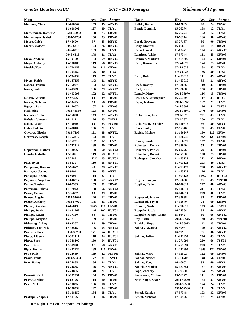| Name                       | ID#                    | Avg        | Gms      | League                    | <b>Name</b>                  | ID#                    | Avg        | Gms      | League                   |
|----------------------------|------------------------|------------|----------|---------------------------|------------------------------|------------------------|------------|----------|--------------------------|
| Montano, Ciera             | 11-618002              | 133        | 45       | ABY03                     | Pulido, Daniel               | 16-65883               | 98         | 74       | <b>CFY03</b>             |
|                            | 11-618002              | 127        | 30       | TLY1                      | <b>Pundt</b> , Dominik       | 15-76274               | 168        | 12       | TLY1                     |
| <b>Montemayor, Domenic</b> | 8584-46952             | 188        | 75       | EBY01                     |                              | 15-76274               | 162        | 12       | TLY <sub>2</sub>         |
| <b>Montemayor, Isabel</b>  | 8584-52704             | 136        | 73       | EBY01                     |                              | 15-76274               | 160        | 90       | ABY03                    |
| <b>Moore, Caleb</b>        | 17-46690               | 57         | 45       | DBY03                     | Pusok, Brayden               | 15-77167               | 80         | 90       | TBY01                    |
| Moore, Malachi             | 9046-6313              | 194        | 76       | DBY04                     | <b>Raby, Montrel</b>         | 16-66601               | 68         | 15       | DBY03                    |
|                            | 9046-6313              | 183        | 36       | TLY3                      | Rafie, Daniel                | 11-63471               | 194        | 63       | ARY02                    |
|                            | 9046-6313              | 178        | 21       | TLY <sub>2</sub>          | <b>Ramirez, Ashley</b>       | 17-97344               | 131        | 45       | <b>CFY03</b>             |
| Moya, Andrew               | 15-19169               | 164        | 69       | DBY03                     | <b>Ramirez, Madison</b>      | 11-475305              | 104        | 51       | EBY01                    |
| Moya, Anthony              | 15-180485              | 119        | 66       | DBY03                     | Razo, Kassandra              | 6745-8028              | 174        | 75       | ABY03                    |
| <b>Musick, Kevin</b>       | 11-704459              | 179        |          | 116 CFY04                 |                              | 6745-8028              | 168        | 43       | TLY3                     |
|                            | 11-704459              | 175        | 40       | TLY3                      |                              | 6745-8028              | 166        | 30       | TLY2                     |
|                            | 11-704459              | 173        | 27       | TLY <sub>2</sub>          | Razo, Rubi                   | 11-493010              | 111<br>99  | 45       | ABY03                    |
| <b>Myers, Kaleb</b>        | 16-157258              | 143<br>183 | 21<br>12 | ABY03<br>ABY03            | <b>Reed, Destiny</b>         | 11-493010              | 110        | 21<br>87 | ABY02<br><b>TBY01</b>    |
| <b>Nabors, Tristen</b>     | 16-150078              | 106        | 29       | ARY02                     | Reed, Sean                   | 17-33636<br>17-33638   | 126        | 87       | TBY01                    |
| Nanez, Jade                | 11-493096<br>11-493096 | 102        | 12       | ARY01                     | <b>Remaly, Mary</b>          | 7914-36970             | 136        | 15       | TBY01                    |
| Nelson, Abrielle           | 17-97356               | 63         | 39       | TBY01                     | <b>Resendez, Christopher</b> | 16-25749               | 117        | 33       | HUY01                    |
| <b>Nelson, Nicholas</b>    | 15-53425               | 99         | 66       | EBY01                     | <b>Reyes, Ivelisse</b>       | 7914-36971             | 167        | 27       | TLY <sub>2</sub>         |
| Nguyen, Lex                | 16-170074              | 107        | 81       | CFY03                     |                              | 7914-36971             | 156        | 51       | <b>TSY01</b>             |
| Niall, Alex                | 7914-48550             | 123        | 36       | <b>CFY03</b>              |                              | 7914-36971             | 147S       | 60       | <b>CFY06</b>             |
| <b>Nichols, Curtis</b>     | 16-150080              | 143        | 27       | ABY03                     | Richardson, Ami              | 6761-287               | 201        | 43       | TLY3                     |
| Noftsier, Vanessa          | 16-1112                | 176        | 75       | <b>TSY01</b>              |                              | 6761-287               | 200        | 27       | TLY <sub>2</sub>         |
| Nolan, Austin              | 17-100290              | 60         | 25       | MNY01                     | <b>Richardson, Deondre</b>   | 16-120876              | 86         | 30       | ARY01                    |
| Oates, Dakota              | 11-488102              | 156        | 21       | TLY1                      | <b>Rives, Bailey</b>         | 17-97346               | 59         | 45       | <b>CFY03</b>             |
| <b>Olivares, Nicolas</b>   | 7914-7198              | 121        | 38       | ARY02                     | Rivich, Michael              | 11-186247              | 180        | 112      | <b>CFY04</b>             |
| <b>Ontiveros, Joseph</b>   | 11-752312              | 193        | 18       | TLY1                      |                              | 11-186247              | 146S       | 120      | <b>CFY06</b>             |
|                            | 11-752312              | 192        | 12       | TLY <sub>2</sub>          | <b>Rivich, Sarah</b>         | 11-366570              | 137        | 75       | <b>CFY03</b>             |
|                            | 11-752312              | 189        | 90       | TBY01                     | Robertson, Emma              | 17-33640               | 57         | 81       | TBY01                    |
| Opperman, Nathan           | 11-380668              | 159        | 60       | ARY02                     | <b>Robertson, Parker</b>     | 16-62226               | 79         | 87       | <b>TBY01</b>             |
| Oviedo, Isabella           | 17-2785                | 119        | 59       | HUY01                     | <b>Robertson, Robert</b>     | 15-77180               | 108        | 75       | <b>TBY01</b>             |
|                            | 17-2785                | 112C       | 15       | HUY02                     | Rodriguez, Jonathan          | 11-493123              | 212        | 92       | DBY04                    |
| Pace, Ryan                 | 15-8630                | 110        | 66       | ARY01                     |                              | 11-493123              | 203        | 40       | TLY3                     |
| Pampolina, Roman           | 17-97677               | 48         | 29       | ABY02                     |                              | 11-493123              | 200        | 39       | ARY02                    |
| Paniagua, Joshua           | 16-9994                | 119        | 63       | ARY01                     |                              | 11-493123              | 196        | 30       | TLY <sub>2</sub>         |
| Paniagua, Joshua           | 16-9994                | 114        | 27       | TLY1                      |                              | 11-493123              | 159C       | 21       | HUY02                    |
| Paquinto, Angelina         | 11-646217              | 100        | 57       | ARY02                     | Rogers, Landyn               | 17-35658               | 67         | 45       | MNY01                    |
| Patino, Tinsley            | 16-62305               | 135        | 81       | TBY01                     | Rogillio, Kaden              | 16-146814              | 227        | 48       | ABY03                    |
| Patterson, Dakota          | 11-170225              | 168        | 66       | ARY02                     |                              | 16-146814              | 211        | 43       | TLY3                     |
| Payne, Carson              | 17-36622               | 83         | 39       | TBY01                     |                              | 16-146814              | 209        | 30       | TLY2                     |
| Peluso, Angelo             | 7914-57020             | 146        | 12       | TBY01                     | Rognerud, Jordan             | 17-35638               | 87         | 72       | EBY01                    |
| Peluso, Anthony            | 7914-57021             | 175        | 81       | TBY01                     | Rognerud, Taylor             | 17-35640               | 71         | 69       | EBY01                    |
| Pfeifer, Brandon           | 16-66013               | 146S       |          | 116 CFY06                 | Romero, Noah                 | 11-396610              | 133        | 66       | <b>TSY01</b>             |
| <b>Phillips, Devin</b>     | 11-491969              | 144        |          | 102 HUY01                 | Roppolo, Jacob               | 16-22564               | 81         | 66       | ARY <sub>02</sub>        |
| Phillips, Gavin            | 15-77150               | 90         | 51       | TBY01                     | Roppolo, Joseph(Ryan)        | 15-8642                | 80         | 66       | ARY02                    |
| Phillips, Grayson          | 15-77161               | 159        | 51       | TBY01                     | Roy, Keith                   | 7914-39545             | 130        | 45       | MNY01                    |
| Pickering, Ashley          | 16-62307               | 83         | 69       | TBY01                     | Ruzicka, Hope                | 7914-36973             | 142        | 35       | <b>TBY01</b>             |
| Pickrom, Fredrick          | 17-32515               | 105        | 54       | ARY02                     | Salinas, Aivanna             | 16-9998                | 109        | 33       | ARY02                    |
| Pierce, Jeffrey            | 8031-36780             | 171        | 54       | HUY01                     |                              | 16-9998                | 97         | 36       | ARY01                    |
| <b>Pierce, Liberty</b>     | 11-381111              | 178        | 54       | HUY01                     | Salinas, Julian              | 11-271994              | 226        | 43       | TLY3                     |
| Pierce, Sara               | 11-388109              | 150        | 54       | HUY01                     |                              | 11-271994              | 220        | 66       | <b>TSY01</b>             |
| Piere, David               | 17-31998               | 87         | 68       | ARY01                     |                              | 11-271994              | 203        | 27       | TLY2                     |
| Pipas, Kenny               | 11-472934              | 185        |          | 116 CFY04                 |                              | 11-271994              | 184S       | 124      | <b>CFY06</b>             |
| Pope, Kyle                 | 16-22689               | 159        | 42       | MNY01                     | Salinas, Marc                | 17-32592               | 122        | 69       | <b>CFY03</b>             |
| Prado, Pablo               | 7914-56383             | 177        | 81       | <b>TSY01</b>              | Salinas, Nevaeh              | 11-568708              | 148        | 66       | <b>CFY03</b>             |
| Pray, Bailey               | 16-24865               | 154        | 24       | TLY2                      | <b>Salinas, Zoey</b>         | 16-10002               | 93         | 69       | ARY01                    |
|                            | 16-24865               | 146        | 75       | ABY03                     | Santell, Brandon             | 15-187351              | 167        | 23       | ABY03                    |
|                            | 16-24865               | 140        | 21       | TLY1                      | Sapp, Zachary                | 11-593006              | 194        | 75       | ABY03                    |
| Prescott, Karl             | 11-282997              | 134        | 75       | EBY01                     | Saulsberry, Michael          | 15-56127               | 111        | 15       | EBY01                    |
| <b>Price, Caroline</b>     | 16-62196               | 114        | 60       | TBY01                     | <b>Scarbrough, Shane</b>     | 7914-52560             | 174        | 87       | ABY03                    |
| Price, Nick                | 15-108359              | 196<br>192 | 18<br>84 | TLY <sub>2</sub><br>TBY01 |                              | 7914-52560             | 174<br>171 | 24<br>28 | TLY <sub>2</sub><br>TLY3 |
|                            | 15-108359<br>15-108359 | 184        | 18       | TLY1                      | Scheel, Katelyn              | 7914-52560<br>17-97348 | 103        | 32       | <b>CFY03</b>             |
| Prokopuk, Sophia           | 17-51166               | 34         | 16       | TBY01                     | <b>Scheel, Nicholas</b>      | 17-32596               | 87         | 75       | CFY03                    |
|                            |                        |            |          |                           |                              |                        |            |          |                          |

 $R = Right L = Left S = Sport C = Challenge$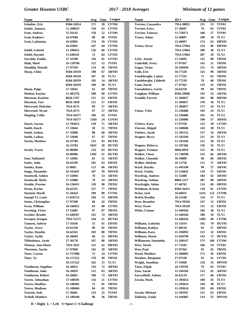| <b>Name</b>                | ID#        | Avg  | Gms | League            | <b>Name</b>                    | ID#        | Avg  | Gms | League            |
|----------------------------|------------|------|-----|-------------------|--------------------------------|------------|------|-----|-------------------|
| Schoiber, Eric             | 8584-52814 | 171  | 20  | <b>CFY04</b>      | Trevino, Cassandra             | 7914-38852 | 131  | 53  | <b>TSY01</b>      |
| Scholz, Jennaca            | 11-268653  | 150  | 63  | <b>CFY03</b>      | Trevino, Erica                 | 17-36607   | 76   | 63  | <b>TSY01</b>      |
| <b>Scott, Andrew</b>       | 15-56142   | 158  | 52  | <b>CFY04</b>      | <b>Trevino, Vanessa</b>        | 11-750271  | 160  | 57  | <b>TSY01</b>      |
| Scott, Kadence             | 16-67040   | 88   | 40  | <b>TSY01</b>      | <b>Troost, Adam</b>            | 15-46897   | 180  | 18  | TLY2              |
| Scott, Ladamian            | 16-65891   | 174  | 39  | <b>CFY03</b>      |                                | 15-46897   | 174  | 63  | DBY03             |
|                            | 16-65891   | 167  | 64  | <b>CFY04</b>      | <b>Troost, Oscar</b>           | 7914-57064 | 224  | 96  | DBY04             |
| Seidel, Gabriel            | 11-208451  | 126  | 66  | <b>CFY03</b>      |                                | 7914-57064 | 209  | 28  | TLY3              |
| Seidel, Horatio            | 11-640241  | 72   | 84  | <b>CFY03</b>      |                                | 7914-57064 | 207  | 18  | TLY2              |
| Serralde, Emilio           | 17-32598   | 136  | 81  | <b>CFY03</b>      | <b>Tyler, Austin</b>           | 17-33693   | 125  | 90  | TBY01             |
| Shah, Sheel                | 16-139700  | 112  | 12  | <b>TSY01</b>      | <b>Underhill, Avery</b>        | 17-97367   | 142  | 21  | TBY01             |
| <b>Shanklin, Donald</b>    | 17-97358   | 114  | 36  | <b>TBY01</b>      | <b>Ungar, Victor</b>           | 16-166958  | 131  | 74  | ABY03             |
| Sharp, Chloe               | 8584-50359 | 198  | 67  | ABY03             | Valle, Eric                    | 16-77328   | 125  | 90  | ABY03             |
|                            | 8584-50359 | 187  | 26  | TLY <sub>2</sub>  | <b>Vandeberghe, Lainey</b>     | 15-77235   | 72   | 63  | TBY01             |
|                            | 8584-50359 | 183  | 14  | ARY02             | Vandeberghe, Lilabeth          | 15-77239   | 78   | 60  | TBY01             |
|                            | 8584-50359 | 180  | 30  | TLY3              | Vann, David                    | 17-97362   | 133  | 45  | TBY01             |
| <b>Sharp, Paige</b>        | 17-33642   | 61   | 84  | TBY01             | Vansalisbury, Gavin            | 16-62250   | 99   | 84  | TBY01             |
| Shelton, Kaylan            | 11-401376  | 108  | 68  | <b>CFY03</b>      | Vaughan, William               | 8584-50960 | 192  | 54  | ARY02             |
| <b>Sherman, Kaylene</b>    | 8626-2767  | 151  | 63  | EBY01             | <b>Venable, Forrest</b>        | 11-304837  | 181  | 88  | DBY04             |
| Sherman, Tori              | 8626-3450  | 111  | 57  | EBY01             |                                | 11-304837  | 178  | 18  | TLY <sub>2</sub>  |
| <b>Sherwood, Malcolm</b>   | 7914-4572  | 89   | 57  | ARY01             |                                | 11-304837  | 171  | 24  | TLY3              |
| <b>Sherwood, Wyatt</b>     | 7914-4573  | 97   | 57  | ARY01             | Viator, Tyler                  | 11-230486  | 193  | 24  | TLY1              |
| <b>Shuping, Colby</b>      | 7914-56377 | 196  | 45  | <b>TSY01</b>      |                                | 11-230486  | 192  | 24  | TLY2              |
|                            | 7914-56377 | 156S | 24  | COY <sub>01</sub> |                                | 11-230486  | 190  | 57  | ABY03             |
| <b>Smart, Jayson</b>       | 11-703612  | 139  | 71  | ARY02             | Vickery, Kara                  | 17-97350   | 122  | 39  | <b>CFY03</b>      |
| <b>Smith, Dasch</b>        | 17-33644   | 58   | 51  | <b>TBY01</b>      | <b>Vincent, Abigail</b>        | 11-560686  | 143  | 30  | TLY1              |
| Smith, Joshua              | 17-32000   | 80   | 60  | ARY01             | <b>Vittitow</b> , <b>Jacob</b> | 11-395132  | 137  | 54  | ARY02             |
| Smith, Lathan              | 17-33646   | 67   | 47  | TBY01             | <b>Wagner, Bryce</b>           | 11-343104  | 211  | 43  | TLY3              |
| Sorola, Matthew            | 16-25784   | 123  | 93  | <b>HUY01</b>      |                                | 11-343104  | 211  | 30  | TLY <sub>2</sub>  |
|                            | 16-25784   | 102C | 18  | HUY02             | Wagner, Rebecca                | 11-187366  | 136  | 33  | TLY1              |
| Sorola, Travis             | 16-86986   | 154  | 93  | <b>HUY01</b>      | <b>Wagner, Trenton</b>         | 9046-6819  | 152  | 30  | TLY1              |
|                            | 16-86986   | 139C |     | 21 HUY02          | <b>Walker, Chase</b>           | 11-748298  | 133  | 66  | ARY02             |
| Soto, Nathaniel            | 17-32002   | 65   | 51  | ARY01             | <b>Walker, Chassidy</b>        | 16-10009   | 90   | 66  | ARY01             |
| Staley, Julia              | 16-62109   | 105  | 63  | EBY01             | <b>Walker, Hudson</b>          | 16-11756   | 112  | 57  | ARY <sub>02</sub> |
| <b>Stanley, Kane</b>       | 15-8685    | 113  | 66  | ARY02             | Ward, Daysha                   | 11-493100  | 90   | 27  | ARY01             |
| Stepp, Alexander           | 16-163447  | 107  | 39  | <b>MNY01</b>      | Ward, Trinity                  | 15-156042  | 119  | 57  | EBY01             |
| Straitwell, Ashlyn         | 17-32004   | 70   | 53  | ARY01             | <b>Wardrup, Andrew</b>         | 11-32488   | 184  | 42  | ABY03             |
| <b>Straitwell, Myles</b>   | 17-32006   | 79   | 54  | ARY01             | Wardrup, Ashton                | 8004-2317  | 207  | 89  | ABY03             |
| <b>Stroble, Preston</b>    | 16-150431  | 120  | 90  | TBY01             | Waybright, Aidan               | 17-46702   | 114  | 69  | DBY03             |
| Strutz, Karlee             | 16-62335   | 127  | 77  | TBY01             | Weidman, Kristen               | 8584-56411 | 110  | 81  | CFY03             |
| Stuckett, Marik            | 15-56424   | 109  | 90  | <b>CFY01</b>      | Weisz, Jack                    | 16-66031   | 141S |     | 123 CFY06         |
| <b>Stumpf Vi, Louis</b>    | 11-656752  | 184  | 72  | DBY04             | <b>Welch, Bradley</b>          | 16-22348   | 134  | 27  | TLY1              |
| <b>Stutes, Christopher</b> | 17-97360   | 60   | 42  | <b>TBY01</b>      | West, Brandon                  | 7914-39326 | 147  | 12  | EBY01             |
| Swan, William              | 16-166921  | 83   | 80  | <b>CFY03</b>      | West, Owen                     | 7914-39320 | 131  | 32  | EBY01             |
| <b>Sweeting, Victor</b>    | 17-33685   | 97   | 87  | <b>TBY01</b>      | <b>White, Connor</b>           | 11-440344  | 184  | 30  | TLY2              |
| <b>Swisher, Brooke</b>     | 11-640567  | 141  | 74  | ABY03             |                                | 11-440344  | 180  | 18  | TLY1              |
| <b>Swoopes, Keegan</b>     | 7914-52571 | 144  | 21  | HUY01             |                                | 11-440344  | 148S | 40  | <b>CFY06</b>      |
| <b>Tamsett, Aubrey</b>     | 17-35636   | 31   | 61  | EBY01             | Williams, Gabriela             | 15-11614   | 102  | 79  | HUY01             |
| <b>Taylor, Avery</b>       | 16-62338   | 90   | 81  | TBY01             | Williams, Kaidyn               | 17-80218   | 93   | 27  | DBY03             |
| Taylor, Hayden             | 16-62341   | 103  | 80  | <b>TBY01</b>      | Williams, Kara                 | 11-394992  | 133  | 32  | EBY01             |
| Taylor, Jaylin             | 16-26694   | 60   |     | 15 DBY03          | Williams, Maria                | 11-658799  | 143  |     | <b>72 HUY01</b>   |
| Thibodeaux, Jacob          | 17-36178   | 167  | 80  | ABY03             | Williamson, Samantha           | 11-268147  | 173  |     | 106 CFY04         |
| Thomas, Ann Marie          | 7914-1825  | 125  | 42  | DBY03             | <b>Wire, Nicole</b>            | 17-73183   | 166  | 54  | <b>TSY01</b>      |
| <b>Thornton, Austin</b>    | 17-97669   | 142  | 30  | ABY03             | Woo, Paul                      | 17-97364   | 92   | 45  | TBY01             |
| <b>Tiner, Carson</b>       | 11-757688  | 72   | 24  | <b>CFY03</b>      | Wood, Matthew                  | 11-460895  | 171  | 36  | EBY01             |
| Tiner, Ty                  | 16-157222  | 170  | 49  | <b>TBY01</b>      | Woolner, Benjamin              | 17-97338   | 92   | 41  | CFY01             |
|                            | 16-157222  | 162  | 15  | TLY1              | Wright, Jonathan               | 17-35660   | 118  | 33  | MNY01             |
| <b>Tomlinson, Angelina</b> | 16-26052   | 116  | 72  | ARY <sub>02</sub> | Yates, Elijah                  | 16-139702  | 70   | 63  | <b>TSY01</b>      |
| <b>Tomlinson, John</b>     | 16-26059   | 115  | 63  | ARY02             | Zaro, Sarah                    | 15-184169  | 123  | 45  | ABY03             |
| <b>Tomlinson, Robert</b>   | 16-26061   | 188  | 72  | ARY02             | Zarwulkoff, Ashton             | 16-62119   | 117  | 66  | EBY01             |
| Torres, Johnathan          | 17-100595  | 116  | 21  | <b>CFY03</b>      | Zavala, Mark                   | 11-393654  | 198  | 43  | TLY3              |
| <b>Torres, Madilyn</b>     | 15-108385  | 71   | 81  | <b>TBY01</b>      |                                | 11-393654  | 194  | 30  | TLY2              |
| <b>Torres, Madison</b>     | 15-108404  | 84   | 81  | <b>TBY01</b>      |                                | 11-393654  | 193  | 69  | EBY01             |
| Tourish, Seth              | 17-36601   | 133  | 25  | <b>TSY01</b>      | Zavala, Michael                | 11-393507  | 121  | 63  | EBY01             |
| <b>Trekell, Matthew</b>    | 15-189160  | 96   | 36  | TBY01             | Zielinsky, Emily               | 11-410401  | 114  |     | 33 MNY01          |

 $R = Right L = Left S = Sport C = Challenge$  - 5 -